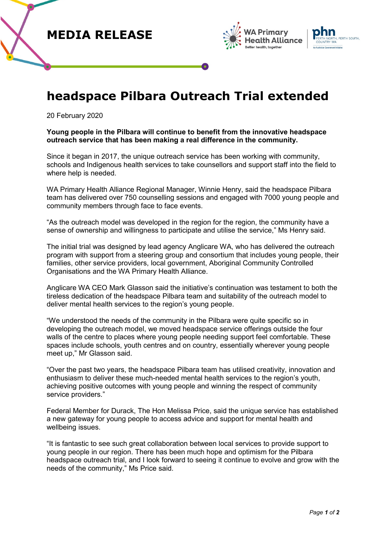





## **headspace Pilbara Outreach Trial extended**

20 February 2020

## **Young people in the Pilbara will continue to benefit from the innovative headspace outreach service that has been making a real difference in the community.**

Since it began in 2017, the unique outreach service has been working with community, schools and Indigenous health services to take counsellors and support staff into the field to where help is needed.

WA Primary Health Alliance Regional Manager, Winnie Henry, said the headspace Pilbara team has delivered over 750 counselling sessions and engaged with 7000 young people and community members through face to face events.

"As the outreach model was developed in the region for the region, the community have a sense of ownership and willingness to participate and utilise the service," Ms Henry said.

The initial trial was designed by lead agency Anglicare WA, who has delivered the outreach program with support from a steering group and consortium that includes young people, their families, other service providers, local government, Aboriginal Community Controlled Organisations and the WA Primary Health Alliance.

Anglicare WA CEO Mark Glasson said the initiative's continuation was testament to both the tireless dedication of the headspace Pilbara team and suitability of the outreach model to deliver mental health services to the region's young people.

"We understood the needs of the community in the Pilbara were quite specific so in developing the outreach model, we moved headspace service offerings outside the four walls of the centre to places where young people needing support feel comfortable. These spaces include schools, youth centres and on country, essentially wherever young people meet up," Mr Glasson said.

"Over the past two years, the headspace Pilbara team has utilised creativity, innovation and enthusiasm to deliver these much-needed mental health services to the region's youth, achieving positive outcomes with young people and winning the respect of community service providers."

Federal Member for Durack, The Hon Melissa Price, said the unique service has established a new gateway for young people to access advice and support for mental health and wellbeing issues.

"It is fantastic to see such great collaboration between local services to provide support to young people in our region. There has been much hope and optimism for the Pilbara headspace outreach trial, and I look forward to seeing it continue to evolve and grow with the needs of the community," Ms Price said.